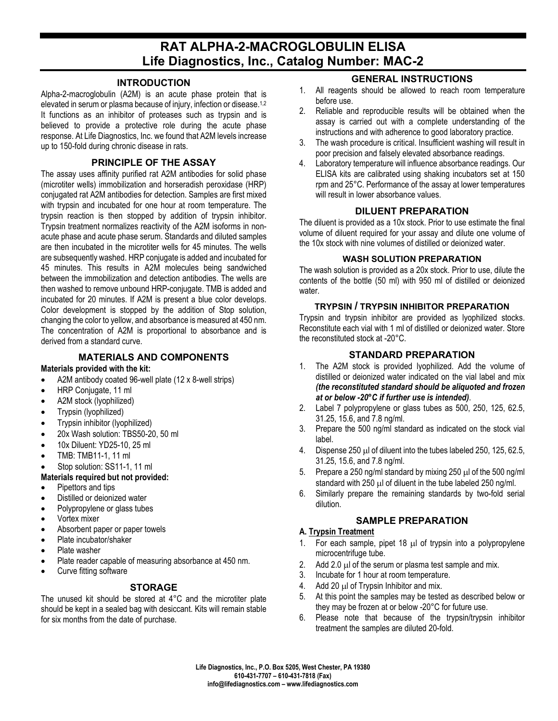# **RAT ALPHA-2-MACROGLOBULIN ELISA Life Diagnostics, Inc., Catalog Number: MAC-2**

#### **INTRODUCTION**

Alpha-2-macroglobulin (A2M) is an acute phase protein that is elevated in serum or plasma because of injury, infection or disease.1,2 It functions as an inhibitor of proteases such as trypsin and is believed to provide a protective role during the acute phase response. At Life Diagnostics, Inc. we found that A2M levels increase up to 150-fold during chronic disease in rats.

## **PRINCIPLE OF THE ASSAY**

The assay uses affinity purified rat A2M antibodies for solid phase (microtiter wells) immobilization and horseradish peroxidase (HRP) conjugated rat A2M antibodies for detection. Samples are first mixed with trypsin and incubated for one hour at room temperature. The trypsin reaction is then stopped by addition of trypsin inhibitor. Trypsin treatment normalizes reactivity of the A2M isoforms in nonacute phase and acute phase serum. Standards and diluted samples are then incubated in the microtiter wells for 45 minutes. The wells are subsequently washed. HRP conjugate is added and incubated for 45 minutes. This results in A2M molecules being sandwiched between the immobilization and detection antibodies. The wells are then washed to remove unbound HRP-conjugate. TMB is added and incubated for 20 minutes. If A2M is present a blue color develops. Color development is stopped by the addition of Stop solution, changing the color to yellow, and absorbance is measured at 450 nm. The concentration of A2M is proportional to absorbance and is derived from a standard curve.

## **MATERIALS AND COMPONENTS**

#### **Materials provided with the kit:**

- A2M antibody coated 96-well plate (12 x 8-well strips)
- HRP Conjugate, 11 ml
- A2M stock (lyophilized)
- Trypsin (lyophilized)
- Trypsin inhibitor (lyophilized)
- 20x Wash solution: TBS50-20, 50 ml
- 10x Diluent: YD25-10, 25 ml
- TMB: TMB11-1, 11 ml
- Stop solution: SS11-1, 11 ml

#### **Materials required but not provided:**

- Pipettors and tips
- Distilled or deionized water
- Polypropylene or glass tubes
- Vortex mixer
- Absorbent paper or paper towels
- Plate incubator/shaker
- Plate washer
- Plate reader capable of measuring absorbance at 450 nm.
- Curve fitting software

#### **STORAGE**

The unused kit should be stored at 4°C and the microtiter plate should be kept in a sealed bag with desiccant. Kits will remain stable for six months from the date of purchase.

#### **GENERAL INSTRUCTIONS**

- 1. All reagents should be allowed to reach room temperature before use.
- 2. Reliable and reproducible results will be obtained when the assay is carried out with a complete understanding of the instructions and with adherence to good laboratory practice.
- 3. The wash procedure is critical. Insufficient washing will result in poor precision and falsely elevated absorbance readings.
- 4. Laboratory temperature will influence absorbance readings. Our ELISA kits are calibrated using shaking incubators set at 150 rpm and 25°C. Performance of the assay at lower temperatures will result in lower absorbance values.

## **DILUENT PREPARATION**

The diluent is provided as a 10x stock. Prior to use estimate the final volume of diluent required for your assay and dilute one volume of the 10x stock with nine volumes of distilled or deionized water.

#### **WASH SOLUTION PREPARATION**

The wash solution is provided as a 20x stock. Prior to use, dilute the contents of the bottle (50 ml) with 950 ml of distilled or deionized water.

#### **TRYPSIN / TRYPSIN INHIBITOR PREPARATION**

Trypsin and trypsin inhibitor are provided as lyophilized stocks. Reconstitute each vial with 1 ml of distilled or deionized water. Store the reconstituted stock at -20°C.

## **STANDARD PREPARATION**

- 1. The A2M stock is provided lyophilized. Add the volume of distilled or deionized water indicated on the vial label and mix *(the reconstituted standard should be aliquoted and frozen at or below -20°C if further use is intended)*.
- 2. Label 7 polypropylene or glass tubes as 500, 250, 125, 62.5, 31.25, 15.6, and 7.8 ng/ml.
- 3. Prepare the 500 ng/ml standard as indicated on the stock vial label.
- 4. Dispense 250 µl of diluent into the tubes labeled 250, 125, 62.5, 31.25, 15.6, and 7.8 ng/ml.
- 5. Prepare a 250 ng/ml standard by mixing 250 µl of the 500 ng/ml standard with 250 µl of diluent in the tube labeled 250 ng/ml.
- 6. Similarly prepare the remaining standards by two-fold serial dilution.

## **SAMPLE PREPARATION**

#### **A. Trypsin Treatment**

- 1. For each sample, pipet  $18 \mu l$  of trypsin into a polypropylene microcentrifuge tube.
- 2. Add 2.0  $\mu$ l of the serum or plasma test sample and mix.
- 3. Incubate for 1 hour at room temperature.
- 4. Add 20 µl of Trypsin Inhibitor and mix.
- 5. At this point the samples may be tested as described below or they may be frozen at or below -20°C for future use.
- 6. Please note that because of the trypsin/trypsin inhibitor treatment the samples are diluted 20-fold.

**Life Diagnostics, Inc., P.O. Box 5205, West Chester, PA 19380 610-431-7707 – 610-431-7818 (Fax) info@lifediagnostics.com – www.lifediagnostics.com**